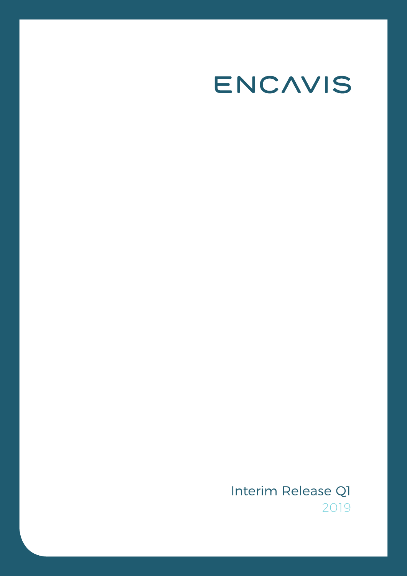# ENCAVIS

Interim Release Q1 2019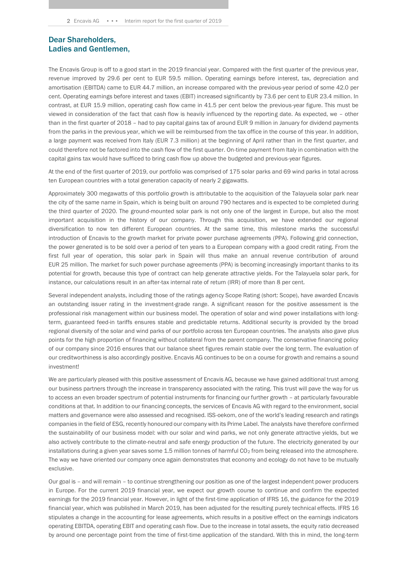### Dear Shareholders, Ladies and Gentlemen,

The Encavis Group is off to a good start in the 2019 financial year. Compared with the first quarter of the previous year, revenue improved by 29.6 per cent to EUR 59.5 million. Operating earnings before interest, tax, depreciation and amortisation (EBITDA) came to EUR 44.7 million, an increase compared with the previous-year period of some 42.0 per cent. Operating earnings before interest and taxes (EBIT) increased significantly by 73.6 per cent to EUR 23.4 million. In contrast, at EUR 15.9 million, operating cash flow came in 41.5 per cent below the previous-year figure. This must be viewed in consideration of the fact that cash flow is heavily influenced by the reporting date. As expected, we – other than in the first quarter of 2018 – had to pay capital gains tax of around EUR 9 million in January for dividend payments from the parks in the previous year, which we will be reimbursed from the tax office in the course of this year. In addition, a large payment was received from Italy (EUR 7.3 million) at the beginning of April rather than in the first quarter, and could therefore not be factored into the cash flow of the first quarter. On-time payment from Italy in combination with the capital gains tax would have sufficed to bring cash flow up above the budgeted and previous-year figures.

At the end of the first quarter of 2019, our portfolio was comprised of 175 solar parks and 69 wind parks in total across ten European countries with a total generation capacity of nearly 2 gigawatts.

Approximately 300 megawatts of this portfolio growth is attributable to the acquisition of the Talayuela solar park near the city of the same name in Spain, which is being built on around 790 hectares and is expected to be completed during the third quarter of 2020. The ground-mounted solar park is not only one of the largest in Europe, but also the most important acquisition in the history of our company. Through this acquisition, we have extended our regional diversification to now ten different European countries. At the same time, this milestone marks the successful introduction of Encavis to the growth market for private power purchase agreements (PPA). Following grid connection, the power generated is to be sold over a period of ten years to a European company with a good credit rating. From the first full year of operation, this solar park in Spain will thus make an annual revenue contribution of around EUR 25 million. The market for such power purchase agreements (PPA) is becoming increasingly important thanks to its potential for growth, because this type of contract can help generate attractive yields. For the Talayuela solar park, for instance, our calculations result in an after-tax internal rate of return (IRR) of more than 8 per cent.

Several independent analysts, including those of the ratings agency Scope Rating (short: Scope), have awarded Encavis an outstanding issuer rating in the investment-grade range. A significant reason for the positive assessment is the professional risk management within our business model. The operation of solar and wind power installations with longterm, guaranteed feed-in tariffs ensures stable and predictable returns. Additional security is provided by the broad regional diversity of the solar and wind parks of our portfolio across ten European countries. The analysts also gave plus points for the high proportion of financing without collateral from the parent company. The conservative financing policy of our company since 2016 ensures that our balance sheet figures remain stable over the long term. The evaluation of our creditworthiness is also accordingly positive. Encavis AG continues to be on a course for growth and remains a sound investment!

We are particularly pleased with this positive assessment of Encavis AG, because we have gained additional trust among our business partners through the increase in transparency associated with the rating. This trust will pave the way for us to access an even broader spectrum of potential instruments for financing our further growth – at particularly favourable conditions at that. In addition to our financing concepts, the services of Encavis AG with regard to the environment, social matters and governance were also assessed and recognised. ISS-oekom, one of the world's leading research and ratings companies in the field of ESG, recently honoured our company with its Prime Label. The analysts have therefore confirmed the sustainability of our business model: with our solar and wind parks, we not only generate attractive yields, but we also actively contribute to the climate-neutral and safe energy production of the future. The electricity generated by our installations during a given year saves some  $1.5$  million tonnes of harmful CO<sub>2</sub> from being released into the atmosphere. The way we have oriented our company once again demonstrates that economy and ecology do not have to be mutually exclusive.

Our goal is – and will remain – to continue strengthening our position as one of the largest independent power producers in Europe. For the current 2019 financial year, we expect our growth course to continue and confirm the expected earnings for the 2019 financial year. However, in light of the first-time application of IFRS 16, the guidance for the 2019 financial year, which was published in March 2019, has been adjusted for the resulting purely technical effects. IFRS 16 stipulates a change in the accounting for lease agreements, which results in a positive effect on the earnings indicators operating EBITDA, operating EBIT and operating cash flow. Due to the increase in total assets, the equity ratio decreased by around one percentage point from the time of first-time application of the standard. With this in mind, the long-term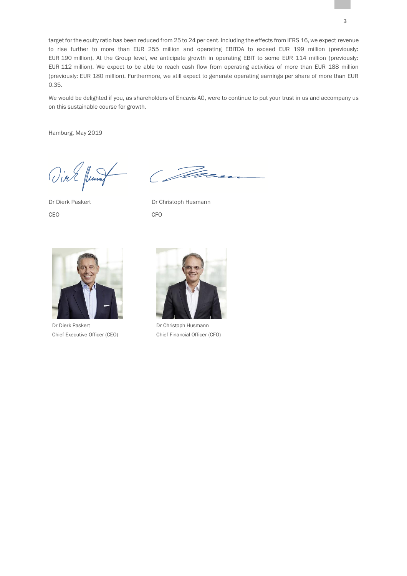target for the equity ratio has been reduced from 25 to 24 per cent. Including the effects from IFRS 16, we expect revenue to rise further to more than EUR 255 million and operating EBITDA to exceed EUR 199 million (previously: EUR 190 million). At the Group level, we anticipate growth in operating EBIT to some EUR 114 million (previously: EUR 112 million). We expect to be able to reach cash flow from operating activities of more than EUR 188 million (previously: EUR 180 million). Furthermore, we still expect to generate operating earnings per share of more than EUR 0.35.

We would be delighted if you, as shareholders of Encavis AG, were to continue to put your trust in us and accompany us on this sustainable course for growth.

Hamburg, May 2019

Vier fund Co

CEO CFO

Dr Dierk Paskert Dr Christoph Husmann



Dr Dierk Paskert Chief Executive Officer (CEO)



Dr Christoph Husmann Chief Financial Officer (CFO)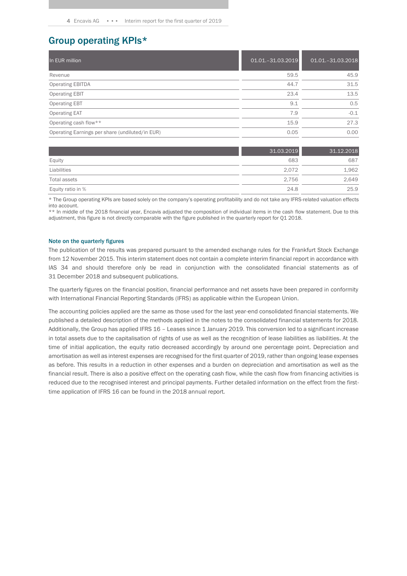### Group operating KPIs\*

| In EUR million                                  | 01.01.-31.03.2019 | 01.01.-31.03.2018 |
|-------------------------------------------------|-------------------|-------------------|
| Revenue                                         | 59.5              | 45.9              |
| <b>Operating EBITDA</b>                         | 44.7              | 31.5              |
| <b>Operating EBIT</b>                           | 23.4              | 13.5              |
| <b>Operating EBT</b>                            | 9.1               | 0.5               |
| <b>Operating EAT</b>                            | 7.9               | $-0.1$            |
| Operating cash flow**                           | 15.9              | 27.3              |
| Operating Earnings per share (undiluted/in EUR) | 0.05              | 0.00              |

|                   | 31.03.2019 | 31.12.2018 |
|-------------------|------------|------------|
| Equity            | 683        | 687        |
| Liabilities       | 2.072      | 1,962      |
| Total assets      | 2.756      | 2,649      |
| Equity ratio in % | 24.8       | 25.9       |

\* The Group operating KPIs are based solely on the company's operating profitability and do not take any IFRS-related valuation effects into account.

\*\* In middle of the 2018 financial year, Encavis adjusted the composition of individual items in the cash flow statement. Due to this adjustment, this figure is not directly comparable with the figure published in the quarterly report for Q1 2018.

#### Note on the quarterly figures

The publication of the results was prepared pursuant to the amended exchange rules for the Frankfurt Stock Exchange from 12 November 2015. This interim statement does not contain a complete interim financial report in accordance with IAS 34 and should therefore only be read in conjunction with the consolidated financial statements as of 31 December 2018 and subsequent publications.

The quarterly figures on the financial position, financial performance and net assets have been prepared in conformity with International Financial Reporting Standards (IFRS) as applicable within the European Union.

The accounting policies applied are the same as those used for the last year-end consolidated financial statements. We published a detailed description of the methods applied in the notes to the consolidated financial statements for 2018. Additionally, the Group has applied IFRS 16 – Leases since 1 January 2019. This conversion led to a significant increase in total assets due to the capitalisation of rights of use as well as the recognition of lease liabilities as liabilities. At the time of initial application, the equity ratio decreased accordingly by around one percentage point. Depreciation and amortisation as well as interest expenses are recognised for the first quarter of 2019, rather than ongoing lease expenses as before. This results in a reduction in other expenses and a burden on depreciation and amortisation as well as the financial result. There is also a positive effect on the operating cash flow, while the cash flow from financing activities is reduced due to the recognised interest and principal payments. Further detailed information on the effect from the firsttime application of IFRS 16 can be found in the 2018 annual report.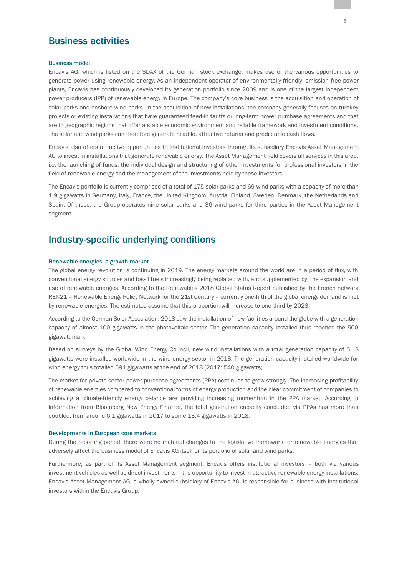### Business activities

#### Business model

Encavis AG, which is listed on the SDAX of the German stock exchange, makes use of the various opportunities to generate power using renewable energy. As an independent operator of environmentally friendly, emission-free power plants, Encavis has continuously developed its generation portfolio since 2009 and is one of the largest independent power producers (IPP) of renewable energy in Europe. The company's core business is the acquisition and operation of solar parks and onshore wind parks. In the acquisition of new installations, the company generally focuses on turnkey projects or existing installations that have guaranteed feed-in tariffs or long-term power purchase agreements and that are in geographic regions that offer a stable economic environment and reliable framework and investment conditions. The solar and wind parks can therefore generate reliable, attractive returns and predictable cash flows.

Encavis also offers attractive opportunities to institutional investors through its subsidiary Encavis Asset Management AG to invest in installations that generate renewable energy. The Asset Management field covers all services in this area, i.e. the launching of funds, the individual design and structuring of other investments for professional investors in the field of renewable energy and the management of the investments held by these investors.

The Encavis portfolio is currently comprised of a total of 175 solar parks and 69 wind parks with a capacity of more than 1.9 gigawatts in Germany, Italy, France, the United Kingdom, Austria, Finland, Sweden, Denmark, the Netherlands and Spain. Of these, the Group operates nine solar parks and 36 wind parks for third parties in the Asset Management segment.

### Industry-specific underlying conditions

#### Renewable energies: a growth market

The global energy revolution is continuing in 2019. The energy markets around the world are in a period of flux, with conventional energy sources and fossil fuels increasingly being replaced with, and supplemented by, the expansion and use of renewable energies. According to the Renewables 2018 Global Status Report published by the French network REN21 – Renewable Energy Policy Network for the 21st Century – currently one-fifth of the global energy demand is met by renewable energies. The estimates assume that this proportion will increase to one-third by 2023.

According to the German Solar Association, 2018 saw the installation of new facilities around the globe with a generation capacity of almost 100 gigawatts in the photovoltaic sector. The generation capacity installed thus reached the 500 gigawatt mark.

Based on surveys by the Global Wind Energy Council, new wind installations with a total generation capacity of 51.3 gigawatts were installed worldwide in the wind energy sector in 2018. The generation capacity installed worldwide for wind energy thus totalled 591 gigawatts at the end of 2018 (2017: 540 gigawatts).

The market for private-sector power purchase agreements (PPA) continues to grow strongly. The increasing profitability of renewable energies compared to conventional forms of energy production and the clear commitment of companies to achieving a climate-friendly energy balance are providing increasing momentum in the PPA market. According to information from Bloomberg New Energy Finance, the total generation capacity concluded via PPAs has more than doubled, from around 6.1 gigawatts in 2017 to some 13.4 gigawatts in 2018.

#### Developments in European core markets

During the reporting period, there were no material changes to the legislative framework for renewable energies that adversely affect the business model of Encavis AG itself or its portfolio of solar and wind parks.

Furthermore, as part of its Asset Management segment, Encavis offers institutional investors – both via various investment vehicles as well as direct investments – the opportunity to invest in attractive renewable energy installations. Encavis Asset Management AG, a wholly owned subsidiary of Encavis AG, is responsible for business with institutional investors within the Encavis Group.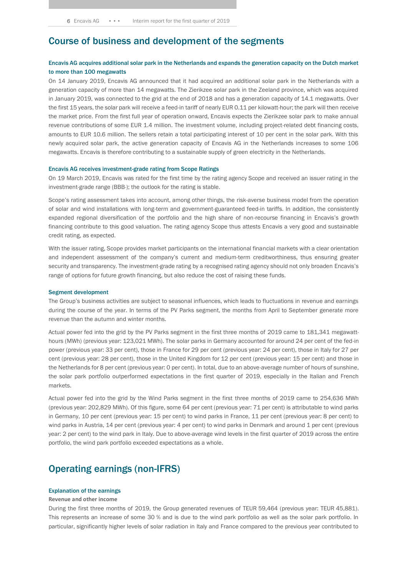### Course of business and development of the segments

#### Encavis AG acquires additional solar park in the Netherlands and expands the generation capacity on the Dutch market to more than 100 megawatts

On 14 January 2019, Encavis AG announced that it had acquired an additional solar park in the Netherlands with a generation capacity of more than 14 megawatts. The Zierikzee solar park in the Zeeland province, which was acquired in January 2019, was connected to the grid at the end of 2018 and has a generation capacity of 14.1 megawatts. Over the first 15 years, the solar park will receive a feed-in tariff of nearly EUR 0.11 per kilowatt-hour; the park will then receive the market price. From the first full year of operation onward, Encavis expects the Zierikzee solar park to make annual revenue contributions of some EUR 1.4 million. The investment volume, including project-related debt financing costs, amounts to EUR 10.6 million. The sellers retain a total participating interest of 10 per cent in the solar park. With this newly acquired solar park, the active generation capacity of Encavis AG in the Netherlands increases to some 106 megawatts. Encavis is therefore contributing to a sustainable supply of green electricity in the Netherlands.

#### Encavis AG receives investment-grade rating from Scope Ratings

On 19 March 2019, Encavis was rated for the first time by the rating agency Scope and received an issuer rating in the investment-grade range (BBB-); the outlook for the rating is stable.

Scope's rating assessment takes into account, among other things, the risk-averse business model from the operation of solar and wind installations with long-term and government-guaranteed feed-in tariffs. In addition, the consistently expanded regional diversification of the portfolio and the high share of non-recourse financing in Encavis's growth financing contribute to this good valuation. The rating agency Scope thus attests Encavis a very good and sustainable credit rating, as expected.

With the issuer rating, Scope provides market participants on the international financial markets with a clear orientation and independent assessment of the company's current and medium-term creditworthiness, thus ensuring greater security and transparency. The investment-grade rating by a recognised rating agency should not only broaden Encavis's range of options for future growth financing, but also reduce the cost of raising these funds.

#### Segment development

The Group's business activities are subject to seasonal influences, which leads to fluctuations in revenue and earnings during the course of the year. In terms of the PV Parks segment, the months from April to September generate more revenue than the autumn and winter months.

Actual power fed into the grid by the PV Parks segment in the first three months of 2019 came to 181,341 megawatthours (MWh) (previous year: 123,021 MWh). The solar parks in Germany accounted for around 24 per cent of the fed-in power (previous year: 33 per cent), those in France for 29 per cent (previous year: 24 per cent), those in Italy for 27 per cent (previous year: 28 per cent), those in the United Kingdom for 12 per cent (previous year: 15 per cent) and those in the Netherlands for 8 per cent (previous year: 0 per cent). In total, due to an above-average number of hours of sunshine, the solar park portfolio outperformed expectations in the first quarter of 2019, especially in the Italian and French markets.

Actual power fed into the grid by the Wind Parks segment in the first three months of 2019 came to 254,636 MWh (previous year: 202,829 MWh). Of this figure, some 64 per cent (previous year: 71 per cent) is attributable to wind parks in Germany, 10 per cent (previous year: 15 per cent) to wind parks in France, 11 per cent (previous year: 8 per cent) to wind parks in Austria, 14 per cent (previous year: 4 per cent) to wind parks in Denmark and around 1 per cent (previous year: 2 per cent) to the wind park in Italy. Due to above-average wind levels in the first quarter of 2019 across the entire portfolio, the wind park portfolio exceeded expectations as a whole.

### Operating earnings (non-IFRS)

#### Explanation of the earnings

#### **Revenue and other income**

During the first three months of 2019, the Group generated revenues of TEUR 59,464 (previous year: TEUR 45,881). This represents an increase of some 30 % and is due to the wind park portfolio as well as the solar park portfolio. In particular, significantly higher levels of solar radiation in Italy and France compared to the previous year contributed to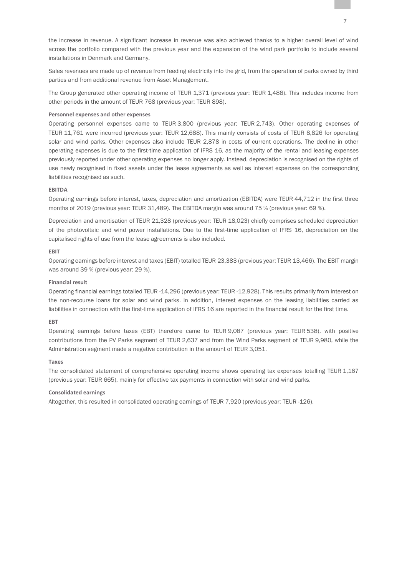the increase in revenue. A significant increase in revenue was also achieved thanks to a higher overall level of wind across the portfolio compared with the previous year and the expansion of the wind park portfolio to include several installations in Denmark and Germany.

Sales revenues are made up of revenue from feeding electricity into the grid, from the operation of parks owned by third parties and from additional revenue from Asset Management.

The Group generated other operating income of TEUR 1,371 (previous year: TEUR 1,488). This includes income from other periods in the amount of TEUR 768 (previous year: TEUR 898).

#### **Personnel expenses and other expenses**

Operating personnel expenses came to TEUR 3,800 (previous year: TEUR 2,743). Other operating expenses of TEUR 11,761 were incurred (previous year: TEUR 12,688). This mainly consists of costs of TEUR 8,826 for operating solar and wind parks. Other expenses also include TEUR 2,878 in costs of current operations. The decline in other operating expenses is due to the first-time application of IFRS 16, as the majority of the rental and leasing expenses previously reported under other operating expenses no longer apply. Instead, depreciation is recognised on the rights of use newly recognised in fixed assets under the lease agreements as well as interest expenses on the corresponding liabilities recognised as such.

#### **EBITDA**

Operating earnings before interest, taxes, depreciation and amortization (EBITDA) were TEUR 44,712 in the first three months of 2019 (previous year: TEUR 31,489). The EBITDA margin was around 75 % (previous year: 69 %).

Depreciation and amortisation of TEUR 21,328 (previous year: TEUR 18,023) chiefly comprises scheduled depreciation of the photovoltaic and wind power installations. Due to the first-time application of IFRS 16, depreciation on the capitalised rights of use from the lease agreements is also included.

#### **EBIT**

Operating earnings before interest and taxes (EBIT) totalled TEUR 23,383 (previous year: TEUR 13,466). The EBIT margin was around 39 % (previous year: 29 %).

#### **Financial result**

Operating financial earnings totalled TEUR -14,296 (previous year: TEUR -12,928). This results primarily from interest on the non-recourse loans for solar and wind parks. In addition, interest expenses on the leasing liabilities carried as liabilities in connection with the first-time application of IFRS 16 are reported in the financial result for the first time.

#### **EBT**

Operating earnings before taxes (EBT) therefore came to TEUR 9,087 (previous year: TEUR 538), with positive contributions from the PV Parks segment of TEUR 2,637 and from the Wind Parks segment of TEUR 9,980, while the Administration segment made a negative contribution in the amount of TEUR 3,051.

#### **Taxes**

The consolidated statement of comprehensive operating income shows operating tax expenses totalling TEUR 1,167 (previous year: TEUR 665), mainly for effective tax payments in connection with solar and wind parks.

#### **Consolidated earnings**

Altogether, this resulted in consolidated operating earnings of TEUR 7,920 (previous year: TEUR -126).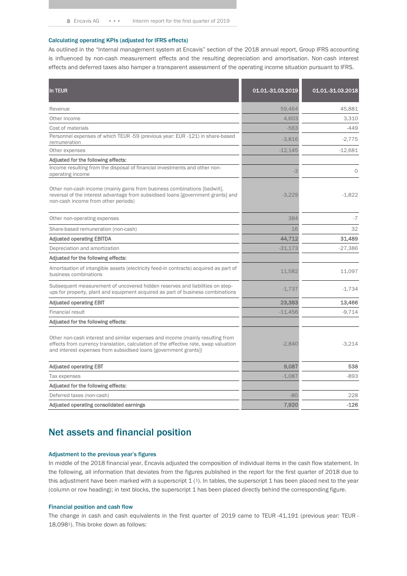#### Calculating operating KPIs (adjusted for IFRS effects)

As outlined in the "Internal management system at Encavis" section of the 2018 annual report, Group IFRS accounting is influenced by non-cash measurement effects and the resulting depreciation and amortisation. Non-cash interest effects and deferred taxes also hamper a transparent assessment of the operating income situation pursuant to IFRS.

| In TEUR                                                                                                                                                                                                                                    | 01.01.-31.03.2019 | 01.01.-31.03.2018 |
|--------------------------------------------------------------------------------------------------------------------------------------------------------------------------------------------------------------------------------------------|-------------------|-------------------|
| Revenue                                                                                                                                                                                                                                    | 59,464            | 45,881            |
| Other income                                                                                                                                                                                                                               | 4,603             | 3.310             |
| Cost of materials                                                                                                                                                                                                                          | $-563$            | $-449$            |
| Personnel expenses of which TEUR -59 (previous year: EUR -121) in share-based<br>remuneration                                                                                                                                              | $-3,816$          | $-2.775$          |
| Other expenses                                                                                                                                                                                                                             | $-12,145$         | $-12,681$         |
| Adjusted for the following effects:                                                                                                                                                                                                        |                   |                   |
| Income resulting from the disposal of financial investments and other non-<br>operating income                                                                                                                                             | $-3$              | $\circ$           |
| Other non-cash income (mainly gains from business combinations [badwill],<br>reversal of the interest advantage from subsidised loans [government grants] and<br>non-cash income from other periods)                                       | $-3.229$          | $-1.822$          |
| Other non-operating expenses                                                                                                                                                                                                               | 384               | $-7$              |
| Share-based remuneration (non-cash)                                                                                                                                                                                                        | 16                | 32                |
| <b>Adjusted operating EBITDA</b>                                                                                                                                                                                                           | 44,712            | 31,489            |
| Depreciation and amortization                                                                                                                                                                                                              | $-31.173$         | $-27,386$         |
| Adjusted for the following effects:                                                                                                                                                                                                        |                   |                   |
| Amortisation of intangible assets (electricity feed-in contracts) acquired as part of<br>business combinations                                                                                                                             | 11,582            | 11,097            |
| Subsequent measurement of uncovered hidden reserves and liabilities on step-<br>ups for property, plant and equipment acquired as part of business combinations                                                                            | $-1,737$          | $-1,734$          |
| <b>Adjusted operating EBIT</b>                                                                                                                                                                                                             | 23,383            | 13,466            |
| <b>Financial result</b>                                                                                                                                                                                                                    | $-11,456$         | $-9,714$          |
| Adjusted for the following effects:                                                                                                                                                                                                        |                   |                   |
| Other non-cash interest and similar expenses and income (mainly resulting from<br>effects from currency translation, calculation of the effective rate, swap valuation<br>and interest expenses from subsidised loans [government grants]) | $-2,840$          | $-3,214$          |
| <b>Adjusted operating EBT</b>                                                                                                                                                                                                              | 9,087             | 538               |
| Tax expenses                                                                                                                                                                                                                               | $-1,087$          | -893              |
| Adjusted for the following effects:                                                                                                                                                                                                        |                   |                   |
| Deferred taxes (non-cash)                                                                                                                                                                                                                  | $-80$             | 228               |
| Adjusted operating consolidated earnings                                                                                                                                                                                                   | 7,920             | $-126$            |

## Net assets and financial position

#### Adjustment to the previous year's figures

In middle of the 2018 financial year, Encavis adjusted the composition of individual items in the cash flow statement. In the following, all information that deviates from the figures published in the report for the first quarter of 2018 due to this adjustment have been marked with a superscript  $1$  (1). In tables, the superscript 1 has been placed next to the year (column or row heading); in text blocks, the superscript 1 has been placed directly behind the corresponding figure.

#### Financial position and cash flow

The change in cash and cash equivalents in the first quarter of 2019 came to TEUR -41,191 (previous year: TEUR - 18,0981). This broke down as follows: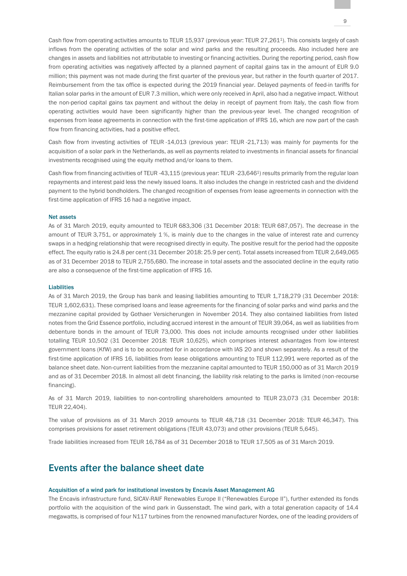Cash flow from operating activities amounts to TEUR 15,937 (previous year: TEUR 27,2611). This consists largely of cash inflows from the operating activities of the solar and wind parks and the resulting proceeds. Also included here are changes in assets and liabilities not attributable to investing or financing activities. During the reporting period, cash flow from operating activities was negatively affected by a planned payment of capital gains tax in the amount of EUR 9.0 million; this payment was not made during the first quarter of the previous year, but rather in the fourth quarter of 2017. Reimbursement from the tax office is expected during the 2019 financial year. Delayed payments of feed-in tariffs for Italian solar parks in the amount of EUR 7.3 million, which were only received in April, also had a negative impact. Without the non-period capital gains tax payment and without the delay in receipt of payment from Italy, the cash flow from operating activities would have been significantly higher than the previous-year level. The changed recognition of expenses from lease agreements in connection with the first-time application of IFRS 16, which are now part of the cash flow from financing activities, had a positive effect.

Cash flow from investing activities of TEUR -14,013 (previous year: TEUR -21,713) was mainly for payments for the acquisition of a solar park in the Netherlands, as well as payments related to investments in financial assets for financial investments recognised using the equity method and/or loans to them.

Cash flow from financing activities of TEUR -43,115 (previous year: TEUR -23,6461) results primarily from the regular loan repayments and interest paid less the newly issued loans. It also includes the change in restricted cash and the dividend payment to the hybrid bondholders. The changed recognition of expenses from lease agreements in connection with the first-time application of IFRS 16 had a negative impact.

#### Net assets

As of 31 March 2019, equity amounted to TEUR 683,306 (31 December 2018: TEUR 687,057). The decrease in the amount of TEUR 3,751, or approximately 1 %, is mainly due to the changes in the value of interest rate and currency swaps in a hedging relationship that were recognised directly in equity. The positive result for the period had the opposite effect. The equity ratio is 24.8 per cent (31 December 2018: 25.9 per cent). Total assets increased from TEUR 2,649,065 as of 31 December 2018 to TEUR 2,755,680. The increase in total assets and the associated decline in the equity ratio are also a consequence of the first-time application of IFRS 16.

#### **Liabilities**

As of 31 March 2019, the Group has bank and leasing liabilities amounting to TEUR 1,718,279 (31 December 2018: TEUR 1,602,631). These comprised loans and lease agreements for the financing of solar parks and wind parks and the mezzanine capital provided by Gothaer Versicherungen in November 2014. They also contained liabilities from listed notes from the Grid Essence portfolio, including accrued interest in the amount of TEUR 39,064, as well as liabilities from debenture bonds in the amount of TEUR 73,000. This does not include amounts recognised under other liabilities totalling TEUR 10,502 (31 December 2018: TEUR 10,625), which comprises interest advantages from low-interest government loans (KfW) and is to be accounted for in accordance with IAS 20 and shown separately. As a result of the first-time application of IFRS 16, liabilities from lease obligations amounting to TEUR 112,991 were reported as of the balance sheet date. Non-current liabilities from the mezzanine capital amounted to TEUR 150,000 as of 31 March 2019 and as of 31 December 2018. In almost all debt financing, the liability risk relating to the parks is limited (non-recourse financing).

As of 31 March 2019, liabilities to non-controlling shareholders amounted to TEUR 23,073 (31 December 2018: TEUR 22,404).

The value of provisions as of 31 March 2019 amounts to TEUR 48,718 (31 December 2018: TEUR 46,347). This comprises provisions for asset retirement obligations (TEUR 43,073) and other provisions (TEUR 5,645).

Trade liabilities increased from TEUR 16,784 as of 31 December 2018 to TEUR 17,505 as of 31 March 2019.

## Events after the balance sheet date

#### Acquisition of a wind park for institutional investors by Encavis Asset Management AG

The Encavis infrastructure fund, SICAV-RAIF Renewables Europe II ("Renewables Europe II"), further extended its fonds portfolio with the acquisition of the wind park in Gussenstadt. The wind park, with a total generation capacity of 14.4 megawatts, is comprised of four N117 turbines from the renowned manufacturer Nordex, one of the leading providers of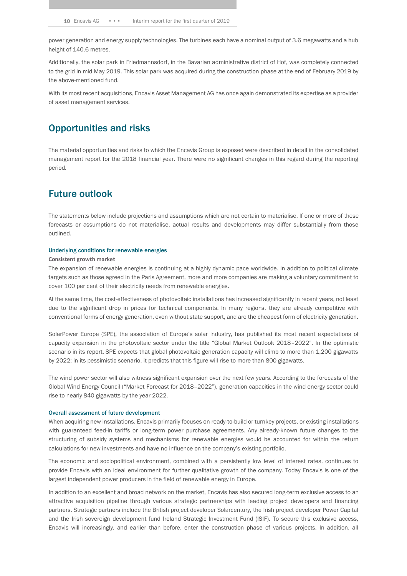power generation and energy supply technologies. The turbines each have a nominal output of 3.6 megawatts and a hub height of 140.6 metres.

Additionally, the solar park in Friedmannsdorf, in the Bavarian administrative district of Hof, was completely connected to the grid in mid May 2019. This solar park was acquired during the construction phase at the end of February 2019 by the above-mentioned fund.

With its most recent acquisitions, Encavis Asset Management AG has once again demonstrated its expertise as a provider of asset management services.

## Opportunities and risks

The material opportunities and risks to which the Encavis Group is exposed were described in detail in the consolidated management report for the 2018 financial year. There were no significant changes in this regard during the reporting period.

## Future outlook

The statements below include projections and assumptions which are not certain to materialise. If one or more of these forecasts or assumptions do not materialise, actual results and developments may differ substantially from those outlined.

#### Underlying conditions for renewable energies

#### **Consistent growth market**

The expansion of renewable energies is continuing at a highly dynamic pace worldwide. In addition to political climate targets such as those agreed in the Paris Agreement, more and more companies are making a voluntary commitment to cover 100 per cent of their electricity needs from renewable energies.

At the same time, the cost-effectiveness of photovoltaic installations has increased significantly in recent years, not least due to the significant drop in prices for technical components. In many regions, they are already competitive with conventional forms of energy generation, even without state support, and are the cheapest form of electricity generation.

SolarPower Europe (SPE), the association of Europe's solar industry, has published its most recent expectations of capacity expansion in the photovoltaic sector under the title "Global Market Outlook 2018–2022". In the optimistic scenario in its report, SPE expects that global photovoltaic generation capacity will climb to more than 1,200 gigawatts by 2022; in its pessimistic scenario, it predicts that this figure will rise to more than 800 gigawatts.

The wind power sector will also witness significant expansion over the next few years. According to the forecasts of the Global Wind Energy Council ("Market Forecast for 2018–2022"), generation capacities in the wind energy sector could rise to nearly 840 gigawatts by the year 2022.

#### Overall assessment of future development

When acquiring new installations, Encavis primarily focuses on ready-to-build or turnkey projects, or existing installations with guaranteed feed-in tariffs or long-term power purchase agreements. Any already-known future changes to the structuring of subsidy systems and mechanisms for renewable energies would be accounted for within the return calculations for new investments and have no influence on the company's existing portfolio.

The economic and sociopolitical environment, combined with a persistently low level of interest rates, continues to provide Encavis with an ideal environment for further qualitative growth of the company. Today Encavis is one of the largest independent power producers in the field of renewable energy in Europe.

In addition to an excellent and broad network on the market, Encavis has also secured long-term exclusive access to an attractive acquisition pipeline through various strategic partnerships with leading project developers and financing partners. Strategic partners include the British project developer Solarcentury, the Irish project developer Power Capital and the Irish sovereign development fund Ireland Strategic Investment Fund (ISIF). To secure this exclusive access, Encavis will increasingly, and earlier than before, enter the construction phase of various projects. In addition, all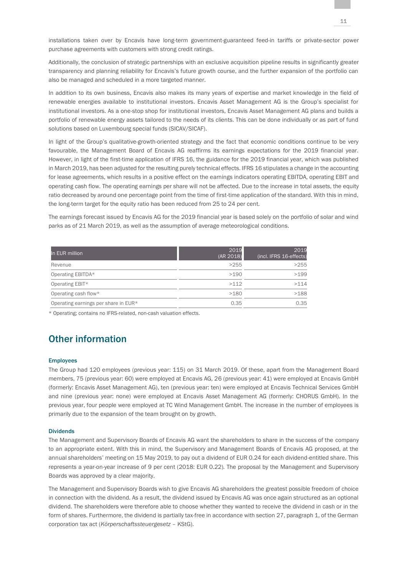installations taken over by Encavis have long-term government-guaranteed feed-in tariffs or private-sector power purchase agreements with customers with strong credit ratings.

Additionally, the conclusion of strategic partnerships with an exclusive acquisition pipeline results in significantly greater transparency and planning reliability for Encavis's future growth course, and the further expansion of the portfolio can also be managed and scheduled in a more targeted manner.

In addition to its own business, Encavis also makes its many years of expertise and market knowledge in the field of renewable energies available to institutional investors. Encavis Asset Management AG is the Group's specialist for institutional investors. As a one-stop shop for institutional investors, Encavis Asset Management AG plans and builds a portfolio of renewable energy assets tailored to the needs of its clients. This can be done individually or as part of fund solutions based on Luxembourg special funds (SICAV/SICAF).

In light of the Group's qualitative-growth-oriented strategy and the fact that economic conditions continue to be very favourable, the Management Board of Encavis AG reaffirms its earnings expectations for the 2019 financial year. However, in light of the first-time application of IFRS 16, the guidance for the 2019 financial year, which was published in March 2019, has been adjusted for the resulting purely technical effects. IFRS 16 stipulates a change in the accounting for lease agreements, which results in a positive effect on the earnings indicators operating EBITDA, operating EBIT and operating cash flow. The operating earnings per share will not be affected. Due to the increase in total assets, the equity ratio decreased by around one percentage point from the time of first-time application of the standard. With this in mind, the long-term target for the equity ratio has been reduced from 25 to 24 per cent.

The earnings forecast issued by Encavis AG for the 2019 financial year is based solely on the portfolio of solar and wind parks as of 21 March 2019, as well as the assumption of average meteorological conditions.

| In EUR million                       | 2019<br>(AR 2018) | 2019<br>(incl. IFRS 16-effects) |
|--------------------------------------|-------------------|---------------------------------|
| Revenue                              | >255              | >255                            |
| Operating EBITDA*                    | >190              | >199                            |
| Operating EBIT*                      | >112              | >114                            |
| Operating cash flow*                 | >180              | >188                            |
| Operating earnings per share in EUR* | 0.35              | 0.35                            |

\* Operating; contains no IFRS-related, non-cash valuation effects.

## Other information

#### **Employees**

The Group had 120 employees (previous year: 115) on 31 March 2019. Of these, apart from the Management Board members, 75 (previous year: 60) were employed at Encavis AG, 26 (previous year: 41) were employed at Encavis GmbH (formerly: Encavis Asset Management AG), ten (previous year: ten) were employed at Encavis Technical Services GmbH and nine (previous year: none) were employed at Encavis Asset Management AG (formerly: CHORUS GmbH). In the previous year, four people were employed at TC Wind Management GmbH. The increase in the number of employees is primarily due to the expansion of the team brought on by growth.

#### Dividends

The Management and Supervisory Boards of Encavis AG want the shareholders to share in the success of the company to an appropriate extent. With this in mind, the Supervisory and Management Boards of Encavis AG proposed, at the annual shareholders' meeting on 15 May 2019, to pay out a dividend of EUR 0.24 for each dividend-entitled share. This represents a year-on-year increase of 9 per cent (2018: EUR 0.22). The proposal by the Management and Supervisory Boards was approved by a clear majority.

The Management and Supervisory Boards wish to give Encavis AG shareholders the greatest possible freedom of choice in connection with the dividend. As a result, the dividend issued by Encavis AG was once again structured as an optional dividend. The shareholders were therefore able to choose whether they wanted to receive the dividend in cash or in the form of shares. Furthermore, the dividend is partially tax-free in accordance with section 27, paragraph 1, of the German corporation tax act (*Körperschaftssteuergesetz* – KStG).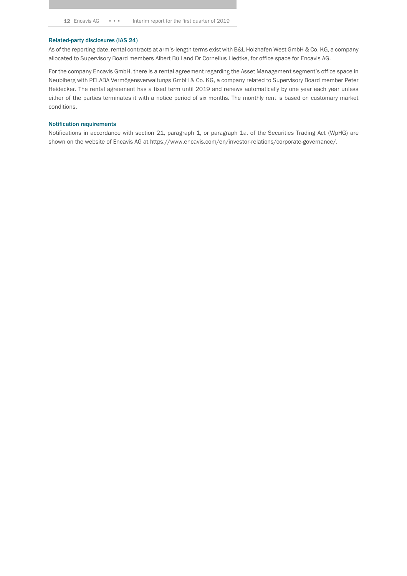#### Related-party disclosures (IAS 24)

As of the reporting date, rental contracts at arm's-length terms exist with B&L Holzhafen West GmbH & Co. KG, a company allocated to Supervisory Board members Albert Büll and Dr Cornelius Liedtke, for office space for Encavis AG.

For the company Encavis GmbH, there is a rental agreement regarding the Asset Management segment's office space in Neubiberg with PELABA Vermögensverwaltungs GmbH & Co. KG, a company related to Supervisory Board member Peter Heidecker. The rental agreement has a fixed term until 2019 and renews automatically by one year each year unless either of the parties terminates it with a notice period of six months. The monthly rent is based on customary market conditions.

#### Notification requirements

Notifications in accordance with section 21, paragraph 1, or paragraph 1a, of the Securities Trading Act (WpHG) are shown on the website of Encavis AG at https://www.encavis.com/en/investor-relations/corporate-governance/.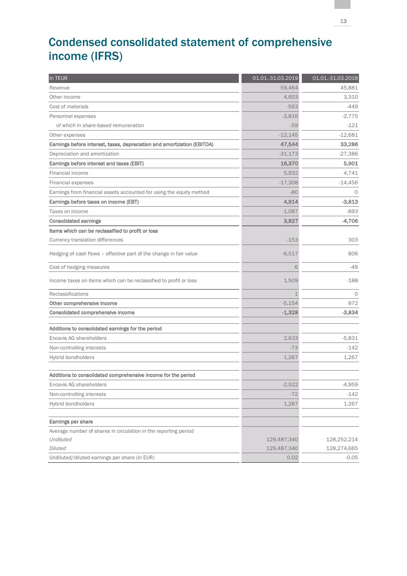## Condensed consolidated statement of comprehensive income (IFRS)

| In TEUR                                                                 | 01.01.-31.03.2019 | 01.01.-31.03.2018 |
|-------------------------------------------------------------------------|-------------------|-------------------|
| Revenue                                                                 | 59,464            | 45,881            |
| Other income                                                            | 4,603             | 3,310             |
| Cost of materials                                                       | $-563$            | $-449$            |
| Personnel expenses                                                      | $-3,816$          | $-2,775$          |
| of which in share-based remuneration                                    | $-59$             | $-121$            |
| Other expenses                                                          | $-12,145$         | $-12,681$         |
| Earnings before interest, taxes, depreciation and amortization (EBITDA) | 47,544            | 33,286            |
| Depreciation and amortization                                           | $-31,173$         | $-27,386$         |
| Earnings before interest and taxes (EBIT)                               | 16,370            | 5,901             |
| Financial income                                                        | 5,932             | 4.741             |
| Financial expenses                                                      | $-17,308$         | $-14,456$         |
| Earnings from financial assets accounted for using the equity method    | $-80$             | $\Omega$          |
| Earnings before taxes on income (EBT)                                   | 4,914             | $-3,813$          |
| Taxes on income                                                         | $-1,087$          | $-893$            |
| <b>Consolidated earnings</b>                                            | 3,827             | $-4,706$          |
| Items which can be reclassified to profit or loss                       |                   |                   |
| Currency translation differences                                        | $-153$            | 303               |
| Hedging of cash flows - effective part of the change in fair value      | $-6,517$          | 806               |
| Cost of hedging measures                                                | 6                 | -49               |
| Income taxes on items which can be reclassified to profit or loss       | 1,509             | $-188$            |
| Reclassifications                                                       | 1                 | $\circ$           |
| Other comprehensive income                                              | $-5,154$          | 872               |
| Consolidated comprehensive income                                       | $-1,328$          | $-3,834$          |
| Additions to consolidated earnings for the period                       |                   |                   |
| Encavis AG shareholders                                                 | 2,633             | $-5,831$          |
| Non-controlling interests                                               | $-73$             | $-142$            |
| Hybrid bondholders                                                      | 1,267             | 1,267             |
| Additions to consolidated comprehensive income for the period           |                   |                   |
| Encavis AG shareholders                                                 | $-2,522$          | $-4,959$          |
| Non-controlling interests                                               | $-72$             | $-142$            |
| Hybrid bondholders                                                      | 1,267             | 1,267             |
|                                                                         |                   |                   |
| Earnings per share                                                      |                   |                   |
| Average number of shares in circulation in the reporting period         |                   |                   |
| Undiluted                                                               | 129,487,340       | 128,252,214       |
| <b>Diluted</b>                                                          | 129,487,340       | 128,274,665       |
| Undiluted/diluted earnings per share (in EUR)                           | 0.02              | $-0.05$           |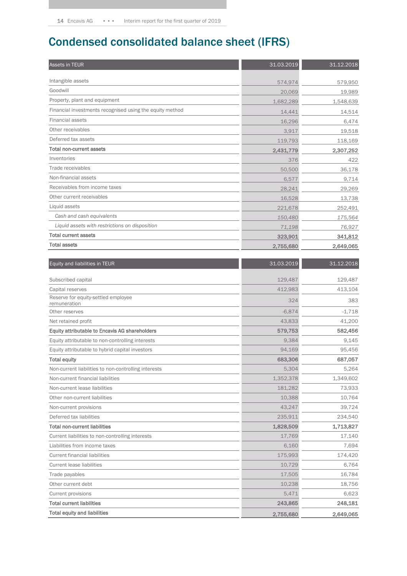## Condensed consolidated balance sheet (IFRS)

| Assets in TEUR                                           | 31.03.2019 | 31.12.2018 |
|----------------------------------------------------------|------------|------------|
| Intangible assets                                        | 574,974    | 579,950    |
| Goodwill                                                 | 20,069     | 19,989     |
| Property, plant and equipment                            | 1,682,289  | 1,548,639  |
| Financial investments recognised using the equity method | 14,441     | 14,514     |
| <b>Financial assets</b>                                  | 16,296     | 6,474      |
| Other receivables                                        | 3,917      | 19,518     |
| Deferred tax assets                                      | 119,793    | 118,169    |
| <b>Total non-current assets</b>                          | 2,431,779  | 2,307,252  |
| Inventories                                              | 376        | 422        |
| Trade receivables                                        | 50,500     | 36,178     |
| Non-financial assets                                     | 6,577      | 9,714      |
| Receivables from income taxes                            | 28,241     | 29,269     |
| Other current receivables                                | 16,528     | 13,738     |
| Liquid assets                                            | 221,678    | 252,491    |
| Cash and cash equivalents                                | 150,480    | 175,564    |
| Liquid assets with restrictions on disposition           | 71,198     | 76,927     |
| <b>Total current assets</b>                              | 323,901    | 341,812    |
| <b>Total assets</b>                                      | 2,755,680  | 2,649,065  |
|                                                          |            |            |
| Equity and liabilities in TEUR                           | 31.03.2019 | 31.12.2018 |
| Subscribed capital                                       | 129,487    | 129,487    |
| Capital reserves                                         | 412,983    | 413,104    |
| Reserve for equity-settled employee<br>remuneration      | 324        | 383        |
| Other reserves                                           | $-6,874$   | $-1,718$   |
| Net retained profit                                      | 43,833     | 41,200     |
| Equity attributable to Encavis AG shareholders           | 579,753    | 582,456    |
| Equity attributable to non-controlling interests         | 9,384      | 9,145      |
| Equity attributable to hybrid capital investors          | 94,169     | 95,456     |
| <b>Total equity</b>                                      | 683,306    | 687,057    |
| Non-current liabilities to non-controlling interests     | 5,304      | 5,264      |
| Non-current financial liabilities                        | 1,352,378  | 1,349,602  |
| Non-current lease liabilities                            | 181,282    | 73,933     |
| Other non-current liabilities                            | 10,388     | 10,764     |
| Non-current provisions                                   | 43,247     | 39,724     |
| Deferred tax liabilities                                 | 235,911    | 234,540    |
| <b>Total non-current liabilities</b>                     | 1,828,509  | 1,713,827  |
| Current liabilities to non-controlling interests         | 17,769     | 17,140     |
| Liabilities from income taxes                            | 6,160      | 7,694      |
| <b>Current financial liabilities</b>                     | 175,993    | 174,420    |
| <b>Current lease liabilities</b>                         | 10,729     | 6,764      |
| Trade payables                                           | 17,505     | 16,784     |
| Other current debt                                       | 10,238     | 18,756     |
| <b>Current provisions</b>                                | 5,471      | 6,623      |
| <b>Total current liabilities</b>                         | 243,865    | 248,181    |
| <b>Total equity and liabilities</b>                      | 2,755,680  | 2,649,065  |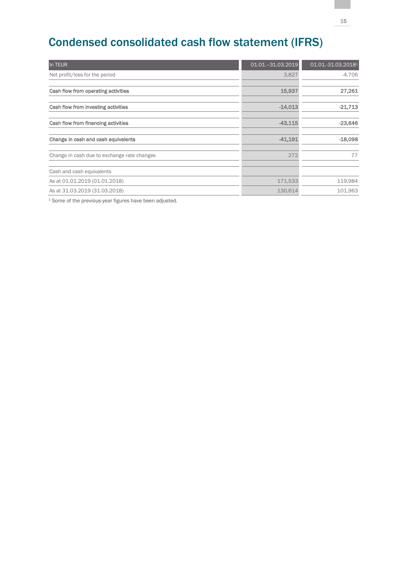## Condensed consolidated cash flow statement (IFRS)

| In TEUR                                     | $01.01 - 31.03.2019$ | 01.01.-31.03.20181 |
|---------------------------------------------|----------------------|--------------------|
| Net profit/loss for the period              | 3,827                | $-4,706$           |
|                                             |                      |                    |
| Cash flow from operating activities         | 15,937               | 27,261             |
| Cash flow from investing activities         | $-14,013$            | $-21,713$          |
| Cash flow from financing activities         | $-43,115$            | $-23,646$          |
| Change in cash and cash equivalents         | $-41,191$            | $-18,098$          |
| Change in cash due to exchange rate changes | 272                  | 77                 |
| Cash and cash equivalents                   |                      |                    |
| As at 01.01.2019 (01.01.2018)               | 171,533              | 119,984            |
| As at 31.03.2019 (31.03.2018)               | 130,614              | 101,963            |

<sup>1</sup> Some of the previous-year figures have been adjusted.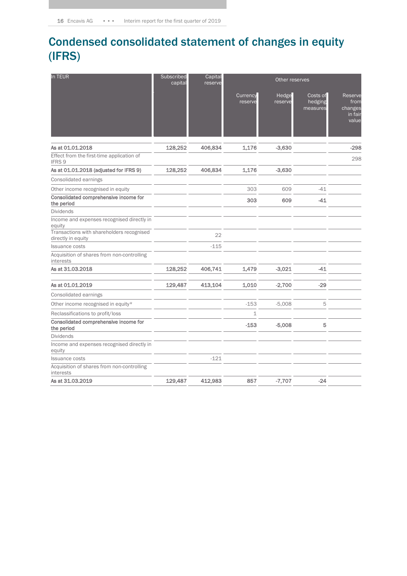## Condensed consolidated statement of changes in equity (IFRS)

| In TEUR                                                         | Subscribed<br>capital | Capital<br>Other reserves<br>reserve |                            |                  |                                 |                                                |
|-----------------------------------------------------------------|-----------------------|--------------------------------------|----------------------------|------------------|---------------------------------|------------------------------------------------|
|                                                                 |                       |                                      | <b>Currency</b><br>reserve | Hedge<br>reserve | Costs of<br>hedging<br>measures | Reserve<br>from<br>changes<br>in fair<br>value |
| As at 01.01.2018                                                | 128,252               | 406,834                              | 1,176                      | $-3,630$         |                                 | $-298$                                         |
| Effect from the first-time application of<br>IFRS 9             |                       |                                      |                            |                  |                                 | 298                                            |
| As at 01.01.2018 (adjusted for IFRS 9)                          | 128,252               | 406,834                              | 1,176                      | $-3,630$         |                                 |                                                |
| Consolidated earnings                                           |                       |                                      |                            |                  |                                 |                                                |
| Other income recognised in equity                               |                       |                                      | 303                        | 609              | $-41$                           |                                                |
| Consolidated comprehensive income for<br>the period             |                       |                                      | 303                        | 609              | $-41$                           |                                                |
| <b>Dividends</b>                                                |                       |                                      |                            |                  |                                 |                                                |
| Income and expenses recognised directly in<br>equity            |                       |                                      |                            |                  |                                 |                                                |
| Transactions with shareholders recognised<br>directly in equity |                       | 22                                   |                            |                  |                                 |                                                |
| <b>Issuance costs</b>                                           |                       | $-115$                               |                            |                  |                                 |                                                |
| Acquisition of shares from non-controlling<br>interests         |                       |                                      |                            |                  |                                 |                                                |
| As at 31.03.2018                                                | 128,252               | 406,741                              | 1,479                      | $-3,021$         | $-41$                           |                                                |
| As at 01.01.2019                                                | 129,487               | 413,104                              | 1,010                      | $-2,700$         | $-29$                           |                                                |
| Consolidated earnings                                           |                       |                                      |                            |                  |                                 |                                                |
| Other income recognised in equity*                              |                       |                                      | $-153$                     | $-5,008$         | 5                               |                                                |
| Reclassifications to profit/loss                                |                       |                                      | $\mathbf 1$                |                  |                                 |                                                |
| Consolidated comprehensive income for<br>the period             |                       |                                      | $-153$                     | $-5,008$         | 5                               |                                                |
| <b>Dividends</b>                                                |                       |                                      |                            |                  |                                 |                                                |
| Income and expenses recognised directly in<br>equity            |                       |                                      |                            |                  |                                 |                                                |
| <b>Issuance costs</b>                                           |                       | $-121$                               |                            |                  |                                 |                                                |
| Acquisition of shares from non-controlling<br>interests         |                       |                                      |                            |                  |                                 |                                                |
| As at 31.03.2019                                                | 129,487               | 412,983                              | 857                        | $-7,707$         | $-24$                           |                                                |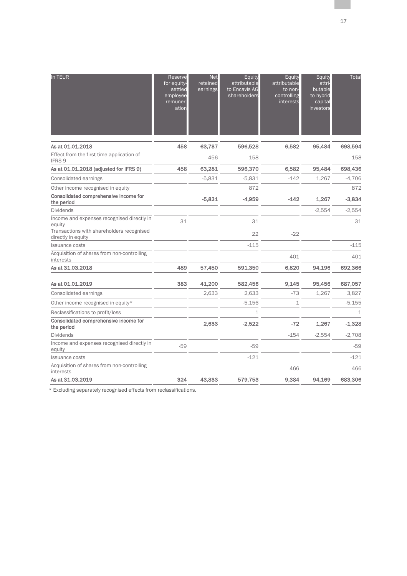| In TEUR                                                         | Reserve<br>for equity-<br>settled<br>employee<br>remuner-<br>ation | <b>Net</b><br>retained<br>earnings | Equity<br>attributable<br>to Encavis AG<br>shareholders | Equity<br>attributable<br>to non-<br>controlling<br>interests | Equity<br>attri-<br>butable<br>to hybrid<br>capital<br>investors | Total    |
|-----------------------------------------------------------------|--------------------------------------------------------------------|------------------------------------|---------------------------------------------------------|---------------------------------------------------------------|------------------------------------------------------------------|----------|
| As at 01.01.2018                                                | 458                                                                | 63,737                             | 596,528                                                 | 6,582                                                         | 95,484                                                           | 698,594  |
| Effect from the first-time application of<br>IFRS <sub>9</sub>  |                                                                    | $-456$                             | $-158$                                                  |                                                               |                                                                  | $-158$   |
| As at 01.01.2018 (adjusted for IFRS 9)                          | 458                                                                | 63,281                             | 596,370                                                 | 6,582                                                         | 95,484                                                           | 698,436  |
| Consolidated earnings                                           |                                                                    | $-5,831$                           | $-5.831$                                                | $-142$                                                        | 1,267                                                            | $-4,706$ |
| Other income recognised in equity                               |                                                                    |                                    | 872                                                     |                                                               |                                                                  | 872      |
| Consolidated comprehensive income for<br>the period             |                                                                    | $-5,831$                           | -4,959                                                  | $-142$                                                        | 1,267                                                            | $-3,834$ |
| <b>Dividends</b>                                                |                                                                    |                                    |                                                         |                                                               | $-2,554$                                                         | $-2,554$ |
| Income and expenses recognised directly in<br>equity            | 31                                                                 |                                    | 31                                                      |                                                               |                                                                  | 31       |
| Transactions with shareholders recognised<br>directly in equity |                                                                    |                                    | 22                                                      | $-22$                                                         |                                                                  |          |
| <b>Issuance costs</b>                                           |                                                                    |                                    | $-115$                                                  |                                                               |                                                                  | $-115$   |
| Acquisition of shares from non-controlling<br>interests         |                                                                    |                                    |                                                         | 401                                                           |                                                                  | 401      |
| As at 31.03.2018                                                | 489                                                                | 57.450                             | 591,350                                                 | 6,820                                                         | 94.196                                                           | 692,366  |
| As at 01.01.2019                                                | 383                                                                | 41,200                             | 582,456                                                 | 9,145                                                         | 95,456                                                           | 687,057  |
| Consolidated earnings                                           |                                                                    | 2,633                              | 2,633                                                   | $-73$                                                         | 1,267                                                            | 3,827    |
| Other income recognised in equity*                              |                                                                    |                                    | $-5,156$                                                | $\mathbf{1}$                                                  |                                                                  | $-5,155$ |
| Reclassifications to profit/loss                                |                                                                    |                                    | $\mathbf{1}$                                            |                                                               |                                                                  | 1        |
| Consolidated comprehensive income for<br>the period             |                                                                    | 2,633                              | $-2,522$                                                | $-72$                                                         | 1,267                                                            | $-1,328$ |
| <b>Dividends</b>                                                |                                                                    |                                    |                                                         | $-154$                                                        | $-2,554$                                                         | $-2,708$ |
| Income and expenses recognised directly in<br>equity            | $-59$                                                              |                                    | $-59$                                                   |                                                               |                                                                  | $-59$    |
| <b>Issuance costs</b>                                           |                                                                    |                                    | $-121$                                                  |                                                               |                                                                  | $-121$   |
| Acquisition of shares from non-controlling<br>interests         |                                                                    |                                    |                                                         | 466                                                           |                                                                  | 466      |
| As at 31.03.2019                                                | 324                                                                | 43,833                             | 579,753                                                 | 9,384                                                         | 94,169                                                           | 683,306  |

\* Excluding separately recognised effects from reclassifications.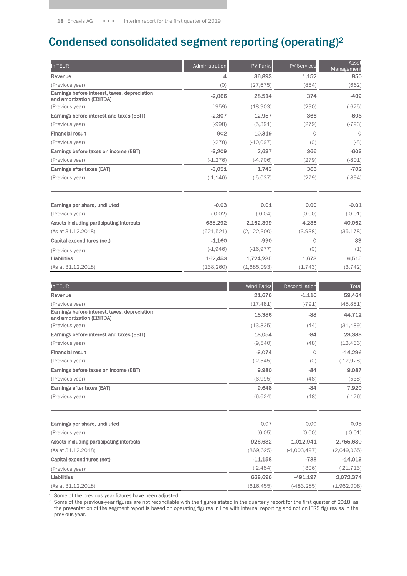## Condensed consolidated segment reporting (operating)<sup>2</sup>

| In TEUR                                                                    | Administration | <b>PV Parks</b> | <b>PV Services</b> | Asset<br>Management |
|----------------------------------------------------------------------------|----------------|-----------------|--------------------|---------------------|
| Revenue                                                                    | 4              | 36,893          | 1,152              | 850                 |
| (Previous year)                                                            | (0)            | (27, 675)       | (854)              | (662)               |
| Earnings before interest, taxes, depreciation<br>and amortization (EBITDA) | $-2,066$       | 28,514          | 374                | $-409$              |
| (Previous year)                                                            | $(-959)$       | (18,903)        | (290)              | $(-625)$            |
| Earnings before interest and taxes (EBIT)                                  | $-2,307$       | 12,957          | 366                | $-603$              |
| (Previous year)                                                            | $(-998)$       | (5, 391)        | (279)              | $(-793)$            |
| <b>Financial result</b>                                                    | $-902$         | $-10,319$       | $\Omega$           | $\Omega$            |
| (Previous year)                                                            | $(-278)$       | $(-10,097)$     | (0)                | $(-8)$              |
| Earnings before taxes on income (EBT)                                      | $-3,209$       | 2,637           | 366                | $-603$              |
| (Previous year)                                                            | $(-1, 276)$    | $(-4, 706)$     | (279)              | $(-801)$            |
| Earnings after taxes (EAT)                                                 | $-3.051$       | 1.743           | 366                | $-702$              |
| (Previous year)                                                            | $(-1, 146)$    | $(-5,037)$      | (279)              | $(-894)$            |

| Earnings per share, undiluted            | $-0.03$    | 0.01          | 0.00    | $-0.01$   |
|------------------------------------------|------------|---------------|---------|-----------|
| (Previous year)                          | $(-0.02)$  | $(-0.04)$     | (0.00)  | $(-0.01)$ |
| Assets including participating interests | 635,292    | 2,162,399     | 4,236   | 40,062    |
| (As at 31.12.2018)                       | (621, 521) | (2, 122, 300) | (3,938) | (35, 178) |
| Capital expenditures (net)               | $-1.160$   | $-990$        | 0       | 83        |
| (Previous year) <sup>1</sup>             | $(-1,946)$ | $(-16.977)$   | (0)     | (1)       |
| <b>Liabilities</b>                       | 162,453    | 1.724.235     | 1.673   | 6.515     |
| (As at 31.12.2018)                       | (138, 260) | (1,685,093)   | (1,743) | (3, 742)  |

| In TEUR                                                                    | <b>Wind Parks</b> | Reconciliation | Total       |
|----------------------------------------------------------------------------|-------------------|----------------|-------------|
| Revenue                                                                    | 21,676            | $-1,110$       | 59,464      |
| (Previous year)                                                            | (17, 481)         | $(-791)$       | (45, 881)   |
| Earnings before interest, taxes, depreciation<br>and amortization (EBITDA) | 18,386            | $-88$          | 44,712      |
| (Previous year)                                                            | (13,835)          | (44)           | (31, 489)   |
| Earnings before interest and taxes (EBIT)                                  | 13,054            | $-84$          | 23,383      |
| (Previous year)                                                            | (9,540)           | (48)           | (13, 466)   |
| <b>Financial result</b>                                                    | $-3,074$          | $\mathbf 0$    | $-14,296$   |
| (Previous year)                                                            | $(-2, 545)$       | (0)            | $(-12,928)$ |
| Earnings before taxes on income (EBT)                                      | 9,980             | $-84$          | 9,087       |
| (Previous year)                                                            | (6,995)           | (48)           | (538)       |
| Earnings after taxes (EAT)                                                 | 9,648             | $-84$          | 7,920       |
| (Previous year)                                                            | (6,624)           | (48)           | $(-126)$    |

| Earnings per share, undiluted            | 0.07        | 0.00           | 0.05         |
|------------------------------------------|-------------|----------------|--------------|
| (Previous year)                          | (0.05)      | (0.00)         | $(-0.01)$    |
| Assets including participating interests | 926,632     | $-1.012.941$   | 2,755,680    |
| (As at 31.12.2018)                       | (869,625)   | $(-1,003,497)$ | (2,649,065)  |
| Capital expenditures (net)               | $-11.158$   | $-788$         | $-14.013$    |
| (Previous year) <sup>1</sup>             | $(-2, 484)$ | $(-306)$       | $(-21, 713)$ |
| Liabilities                              | 668,696     | $-491.197$     | 2,072,374    |
| (As at 31.12.2018)                       | (616, 455)  | (-483,285)     | (1,962,008)  |

<sup>1</sup> Some of the previous-year figures have been adjusted.

<sup>2</sup> Some of the previous-year figures are not reconcilable with the figures stated in the quarterly report for the first quarter of 2018, as the presentation of the segment report is based on operating figures in line with internal reporting and not on IFRS figures as in the previous year.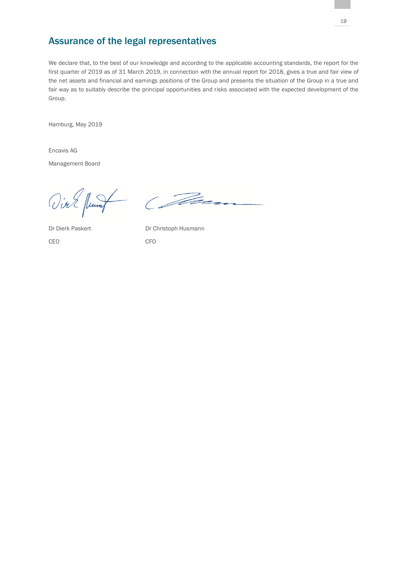## Assurance of the legal representatives

We declare that, to the best of our knowledge and according to the applicable accounting standards, the report for the first quarter of 2019 as of 31 March 2019, in connection with the annual report for 2018, gives a true and fair view of the net assets and financial and earnings positions of the Group and presents the situation of the Group in a true and fair way as to suitably describe the principal opportunities and risks associated with the expected development of the Group.

Hamburg, May 2019

Encavis AG Management Board

Vial funt Com

CEO CFO

Dr Dierk Paskert Dr Christoph Husmann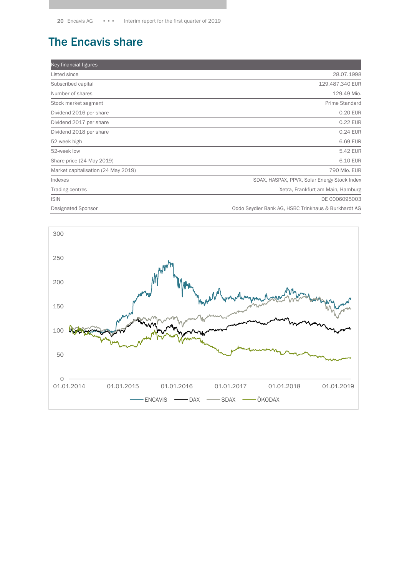## The Encavis share

| Key financial figures               |                                                     |
|-------------------------------------|-----------------------------------------------------|
| Listed since                        | 28.07.1998                                          |
| Subscribed capital                  | 129,487,340 EUR                                     |
| Number of shares                    | 129.49 Mio.                                         |
| Stock market segment                | Prime Standard                                      |
| Dividend 2016 per share             | 0.20 EUR                                            |
| Dividend 2017 per share             | 0.22 EUR                                            |
| Dividend 2018 per share             | 0.24 EUR                                            |
| 52-week high                        | 6.69 EUR                                            |
| 52-week low                         | 5.42 EUR                                            |
| Share price (24 May 2019)           | 6.10 EUR                                            |
| Market capitalisation (24 May 2019) | 790 Mio. EUR                                        |
| Indexes                             | SDAX, HASPAX, PPVX, Solar Energy Stock Index        |
| Trading centres                     | Xetra, Frankfurt am Main, Hamburg                   |
| <b>ISIN</b>                         | DE 0006095003                                       |
| <b>Designated Sponsor</b>           | Oddo Seydler Bank AG, HSBC Trinkhaus & Burkhardt AG |